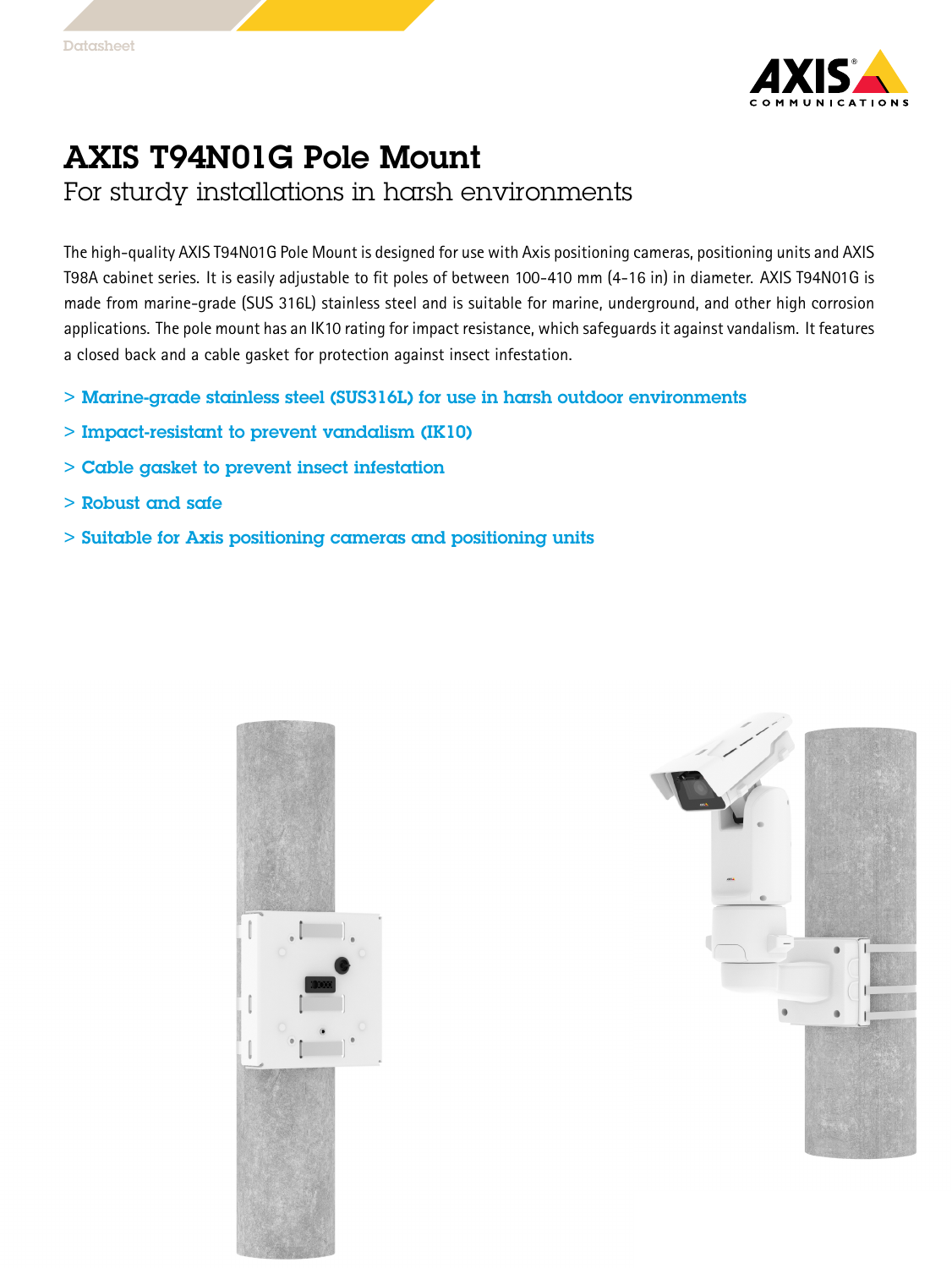

## AXIS T94N01G Pole Mount

For sturdy installations in harsh environments

The high-quality AXIS T94N01G Pole Mount is designed for use with Axis positioning cameras, positioning units and AXIS T98A cabinet series. It is easily adjustable to fit poles of between 100-410 mm (4-16 in) in diameter. AXIS T94N01G is made from marine-grade (SUS 316L) stainless steel and is suitable for marine, underground, and other high corrosion applications. The pole mount has an IK10 rating for impact resistance, which safeguards it against vandalism. It features <sup>a</sup> closed back and <sup>a</sup> cable gasket for protection against insect infestation.

- > Marine-grade stainless steel (SUS316L) for use in harsh outdoor environments
- > Impact-resistant to prevent vandalism (IK10)
- > Cable gasket to prevent insect infestation
- > Robust and safe
- > Suitable for Axis positioning cameras and positioning units